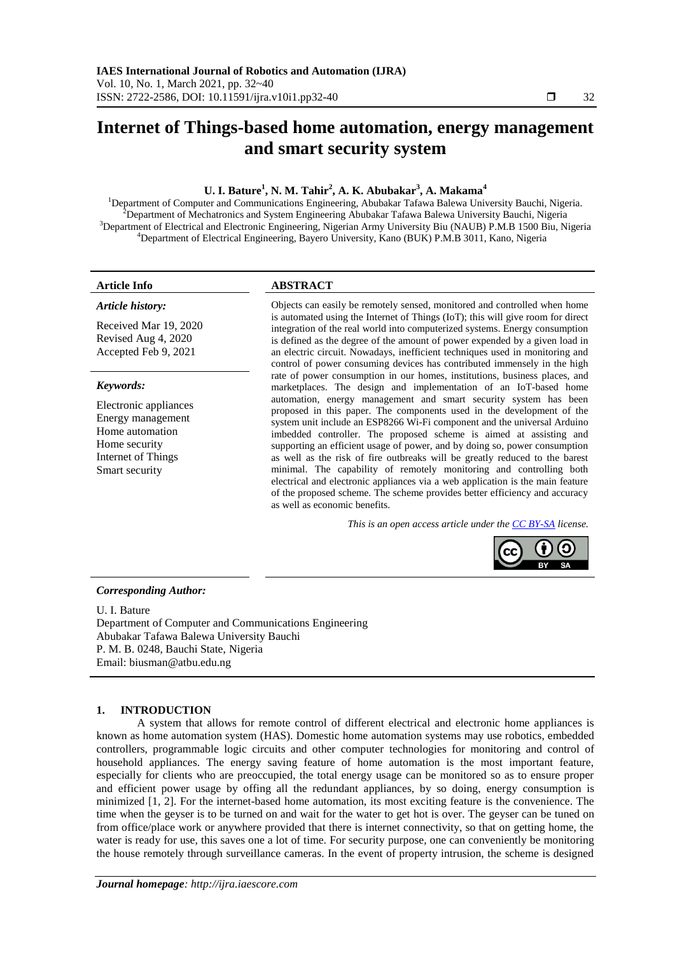# **Internet of Things-based home automation, energy management and smart security system**

# **U. I. Bature<sup>1</sup> , N. M. Tahir<sup>2</sup> , A. K. Abubakar<sup>3</sup> , A. Makama<sup>4</sup>**

<sup>1</sup>Department of Computer and Communications Engineering, Abubakar Tafawa Balewa University Bauchi, Nigeria. Department of Mechatronics and System Engineering Abubakar Tafawa Balewa University Bauchi, Nigeria Department of Electrical and Electronic Engineering, Nigerian Army University Biu (NAUB) P.M.B 1500 Biu, Nigeria Department of Electrical Engineering, Bayero University, Kano (BUK) P.M.B 3011, Kano, Nigeria

#### *Article history:*

Received Mar 19, 2020 Revised Aug 4, 2020 Accepted Feb 9, 2021

#### *Keywords:*

Electronic appliances Energy management Home automation Home security Internet of Things Smart security

# **Article Info ABSTRACT**

Objects can easily be remotely sensed, monitored and controlled when home is automated using the Internet of Things (IoT); this will give room for direct integration of the real world into computerized systems. Energy consumption is defined as the degree of the amount of power expended by a given load in an electric circuit. Nowadays, inefficient techniques used in monitoring and control of power consuming devices has contributed immensely in the high rate of power consumption in our homes, institutions, business places, and marketplaces. The design and implementation of an IoT-based home automation, energy management and smart security system has been proposed in this paper. The components used in the development of the system unit include an ESP8266 Wi-Fi component and the universal Arduino imbedded controller. The proposed scheme is aimed at assisting and supporting an efficient usage of power, and by doing so, power consumption as well as the risk of fire outbreaks will be greatly reduced to the barest minimal. The capability of remotely monitoring and controlling both electrical and electronic appliances via a web application is the main feature of the proposed scheme. The scheme provides better efficiency and accuracy as well as economic benefits.

*This is an open access article under the [CC BY-SA](https://creativecommons.org/licenses/by-sa/4.0/) license.*



#### *Corresponding Author:*

U. I. Bature Department of Computer and Communications Engineering Abubakar Tafawa Balewa University Bauchi P. M. B. 0248, Bauchi State, Nigeria Email: [biusman@atbu.edu.ng](mailto:biusman@atbu.edu.ng)

# **1. INTRODUCTION**

A system that allows for remote control of different electrical and electronic home appliances is known as home automation system (HAS). Domestic home automation systems may use robotics, embedded controllers, programmable logic circuits and other computer technologies for monitoring and control of household appliances. The energy saving feature of home automation is the most important feature, especially for clients who are preoccupied, the total energy usage can be monitored so as to ensure proper and efficient power usage by offing all the redundant appliances, by so doing, energy consumption is minimized [1, 2]. For the internet-based home automation, its most exciting feature is the convenience. The time when the geyser is to be turned on and wait for the water to get hot is over. The geyser can be tuned on from office/place work or anywhere provided that there is internet connectivity, so that on getting home, the water is ready for use, this saves one a lot of time. For security purpose, one can conveniently be monitoring the house remotely through surveillance cameras. In the event of property intrusion, the scheme is designed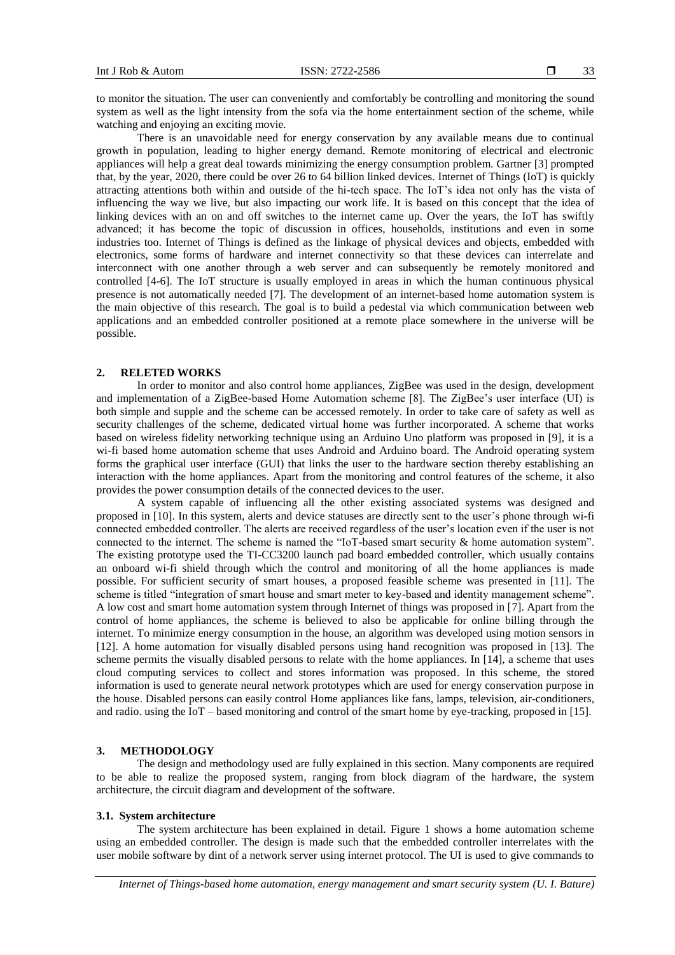to monitor the situation. The user can conveniently and comfortably be controlling and monitoring the sound system as well as the light intensity from the sofa via the home entertainment section of the scheme, while watching and enjoying an exciting movie.

There is an unavoidable need for energy conservation by any available means due to continual growth in population, leading to higher energy demand. Remote monitoring of electrical and electronic appliances will help a great deal towards minimizing the energy consumption problem. Gartner [3] prompted that, by the year, 2020, there could be over 26 to 64 billion linked devices. Internet of Things (IoT) is quickly attracting attentions both within and outside of the hi-tech space. The IoT's idea not only has the vista of influencing the way we live, but also impacting our work life. It is based on this concept that the idea of linking devices with an on and off switches to the internet came up. Over the years, the IoT has swiftly advanced; it has become the topic of discussion in offices, households, institutions and even in some industries too. Internet of Things is defined as the linkage of physical devices and objects, embedded with electronics, some forms of hardware and internet connectivity so that these devices can interrelate and interconnect with one another through a web server and can subsequently be remotely monitored and controlled [4-6]. The IoT structure is usually employed in areas in which the human continuous physical presence is not automatically needed [7]. The development of an internet-based home automation system is the main objective of this research. The goal is to build a pedestal via which communication between web applications and an embedded controller positioned at a remote place somewhere in the universe will be possible.

# **2. RELETED WORKS**

In order to monitor and also control home appliances, ZigBee was used in the design, development and implementation of a ZigBee-based Home Automation scheme [8]. The ZigBee's user interface (UI) is both simple and supple and the scheme can be accessed remotely. In order to take care of safety as well as security challenges of the scheme, dedicated virtual home was further incorporated. A scheme that works based on wireless fidelity networking technique using an Arduino Uno platform was proposed in [9], it is a wi-fi based home automation scheme that uses Android and Arduino board. The Android operating system forms the graphical user interface (GUI) that links the user to the hardware section thereby establishing an interaction with the home appliances. Apart from the monitoring and control features of the scheme, it also provides the power consumption details of the connected devices to the user.

A system capable of influencing all the other existing associated systems was designed and proposed in [10]. In this system, alerts and device statuses are directly sent to the user's phone through wi-fi connected embedded controller. The alerts are received regardless of the user's location even if the user is not connected to the internet. The scheme is named the "IoT-based smart security & home automation system". The existing prototype used the TI-CC3200 launch pad board embedded controller, which usually contains an onboard wi-fi shield through which the control and monitoring of all the home appliances is made possible. For sufficient security of smart houses, a proposed feasible scheme was presented in [11]. The scheme is titled "integration of smart house and smart meter to key-based and identity management scheme". A low cost and smart home automation system through Internet of things was proposed in [7]. Apart from the control of home appliances, the scheme is believed to also be applicable for online billing through the internet. To minimize energy consumption in the house, an algorithm was developed using motion sensors in [12]. A home automation for visually disabled persons using hand recognition was proposed in [13]. The scheme permits the visually disabled persons to relate with the home appliances. In [14], a scheme that uses cloud computing services to collect and stores information was proposed. In this scheme, the stored information is used to generate neural network prototypes which are used for energy conservation purpose in the house. Disabled persons can easily control Home appliances like fans, lamps, television, air-conditioners, and radio. using the IoT – based monitoring and control of the smart home by eye-tracking, proposed in [15].

## **3. METHODOLOGY**

The design and methodology used are fully explained in this section. Many components are required to be able to realize the proposed system, ranging from block diagram of the hardware, the system architecture, the circuit diagram and development of the software.

# **3.1. System architecture**

The system architecture has been explained in detail. Figure 1 shows a home automation scheme using an embedded controller. The design is made such that the embedded controller interrelates with the user mobile software by dint of a network server using internet protocol. The UI is used to give commands to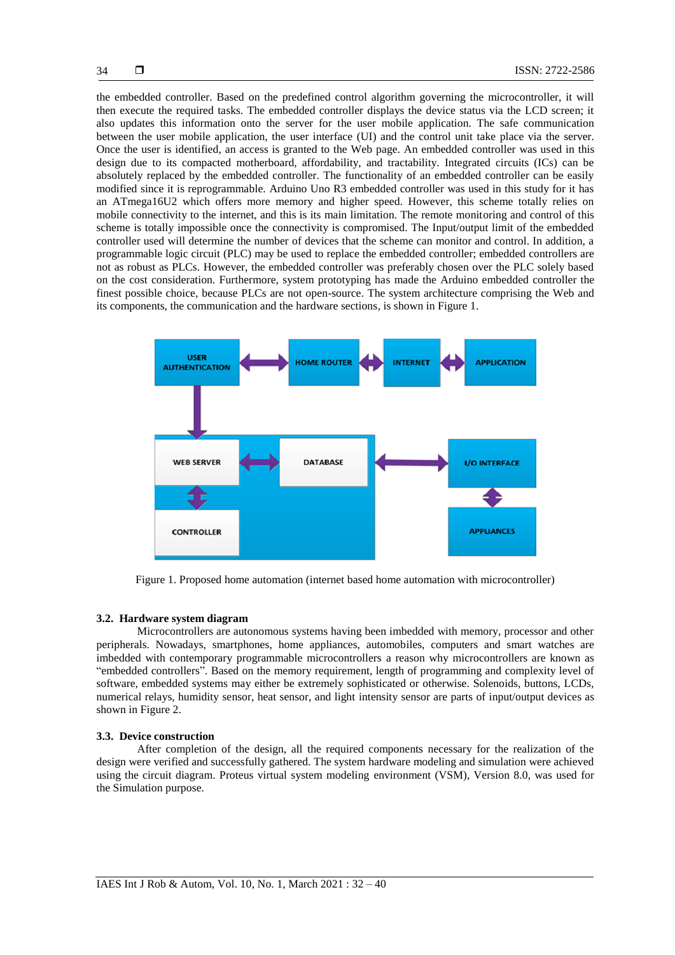the embedded controller. Based on the predefined control algorithm governing the microcontroller, it will then execute the required tasks. The embedded controller displays the device status via the LCD screen; it also updates this information onto the server for the user mobile application. The safe communication between the user mobile application, the user interface (UI) and the control unit take place via the server. Once the user is identified, an access is granted to the Web page. An embedded controller was used in this design due to its compacted motherboard, affordability, and tractability. Integrated circuits (ICs) can be absolutely replaced by the embedded controller. The functionality of an embedded controller can be easily modified since it is reprogrammable. Arduino Uno R3 embedded controller was used in this study for it has an ATmega16U2 which offers more memory and higher speed. However, this scheme totally relies on mobile connectivity to the internet, and this is its main limitation. The remote monitoring and control of this scheme is totally impossible once the connectivity is compromised. The Input/output limit of the embedded controller used will determine the number of devices that the scheme can monitor and control. In addition, a programmable logic circuit (PLC) may be used to replace the embedded controller; embedded controllers are not as robust as PLCs. However, the embedded controller was preferably chosen over the PLC solely based on the cost consideration. Furthermore, system prototyping has made the Arduino embedded controller the finest possible choice, because PLCs are not open-source. The system architecture comprising the Web and its components, the communication and the hardware sections, is shown in Figure 1.



Figure 1. Proposed home automation (internet based home automation with microcontroller)

# **3.2. Hardware system diagram**

Microcontrollers are autonomous systems having been imbedded with memory, processor and other peripherals. Nowadays, smartphones, home appliances, automobiles, computers and smart watches are imbedded with contemporary programmable microcontrollers a reason why microcontrollers are known as "embedded controllers". Based on the memory requirement, length of programming and complexity level of software, embedded systems may either be extremely sophisticated or otherwise. Solenoids, buttons, LCDs, numerical relays, humidity sensor, heat sensor, and light intensity sensor are parts of input/output devices as shown in Figure 2.

## **3.3. Device construction**

After completion of the design, all the required components necessary for the realization of the design were verified and successfully gathered. The system hardware modeling and simulation were achieved using the circuit diagram. Proteus virtual system modeling environment (VSM), Version 8.0, was used for the Simulation purpose.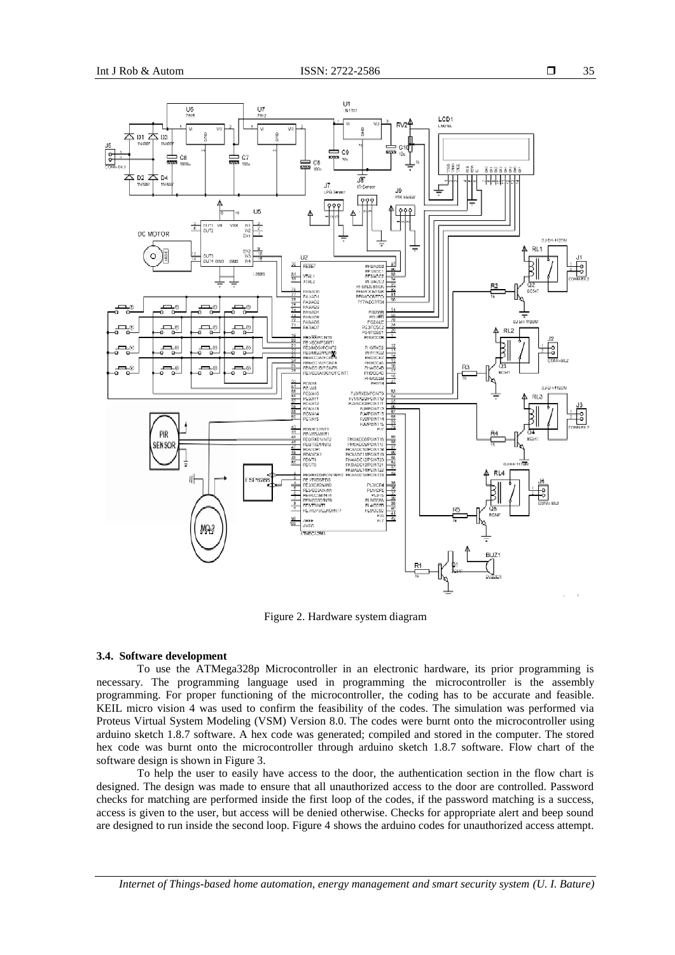

Figure 2. Hardware system diagram

#### **3.4. Software development**

To use the ATMega328p Microcontroller in an electronic hardware, its prior programming is necessary. The programming language used in programming the microcontroller is the assembly programming. For proper functioning of the microcontroller, the coding has to be accurate and feasible. KEIL micro vision 4 was used to confirm the feasibility of the codes. The simulation was performed via Proteus Virtual System Modeling (VSM) Version 8.0. The codes were burnt onto the microcontroller using arduino sketch 1.8.7 software. A hex code was generated; compiled and stored in the computer. The stored hex code was burnt onto the microcontroller through arduino sketch 1.8.7 software. Flow chart of the software design is shown in Figure 3.

To help the user to easily have access to the door, the authentication section in the flow chart is designed. The design was made to ensure that all unauthorized access to the door are controlled. Password checks for matching are performed inside the first loop of the codes, if the password matching is a success, access is given to the user, but access will be denied otherwise. Checks for appropriate alert and beep sound are designed to run inside the second loop. Figure 4 shows the arduino codes for unauthorized access attempt.

*Internet of Things-based home automation, energy management and smart security system (U. I. Bature)*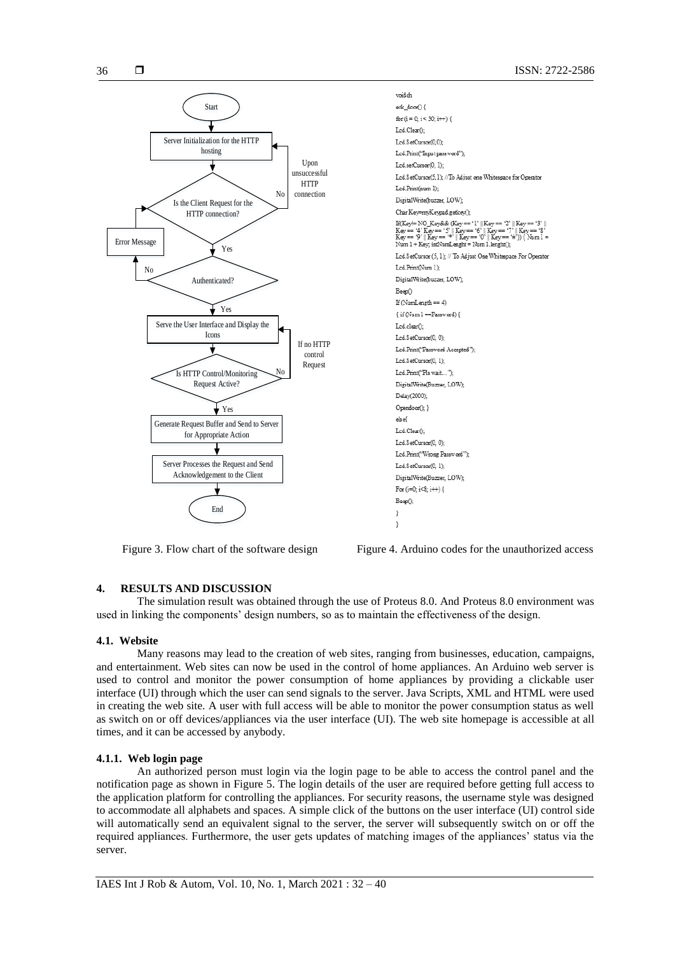

widch eck door() { for  $(i = 0; i < 30; i++)$  { Led.Clear(): Led.SetCursor(0.0): Led.Print("Input pass word"); Led.setCursor(0, 1): Led.SetCursor(5.1); //To Adjust one Whitespace for Operator Led.Print(num 1): DigitalWrite(buzzer, LOW); Char Key=myKeypad getkey(); If(Key!= NO\_Key&& (Key == '1' || Key == '2' || Key == '3' | Key == '4' Key == '5' || Key == '6' || Key == '7' || Key == '8'<br>Key == '9' || Key == '\*' || Key == '0' || Key == '#')) { Num 1 = Num  $1 + \text{Key}$ , infNumLenght = Num  $1$ .lenght(); Led.SetCursor (5, 1); // To Adjust One Whitespace For Operator Led.Print(Num 1); DigitalWrite(buzzer, LOW); Beep() If  $(NumLength == 4)$  $\{ \text{ if }(\mathbb{N}\text{u}\text{m}\,1\!=\!\!\text{Password}) \, \}$ Led.elear(); Led.SetCursor(0, 0); Led.Print('Password Accepted''): Led.SetCursor(0, 1); Led.Print("Pls wait..."): DigitalWrite(Buzzer, LOW): Delay(2000): Opendoor(); } elsef Led.Clear(); Led.SetCursor(0, 0); Led.Print("Wrong Password"); Led.SetCursor(0, 1); DigitalWrite(Buzzer, LOW); For (i=0; i<8; i++) { Beep(); <sup>3</sup>  $\overline{\phantom{a}3}$ 

Figure 3. Flow chart of the software design Figure 4. Arduino codes for the unauthorized access

# **4. RESULTS AND DISCUSSION**

The simulation result was obtained through the use of Proteus 8.0. And Proteus 8.0 environment was used in linking the components' design numbers, so as to maintain the effectiveness of the design.

# **4.1. Website**

Many reasons may lead to the creation of web sites, ranging from businesses, education, campaigns, and entertainment. Web sites can now be used in the control of home appliances. An Arduino web server is used to control and monitor the power consumption of home appliances by providing a clickable user interface (UI) through which the user can send signals to the server. Java Scripts, XML and HTML were used in creating the web site. A user with full access will be able to monitor the power consumption status as well as switch on or off devices/appliances via the user interface (UI). The web site homepage is accessible at all times, and it can be accessed by anybody.

# **4.1.1. Web login page**

An authorized person must login via the login page to be able to access the control panel and the notification page as shown in Figure 5. The login details of the user are required before getting full access to the application platform for controlling the appliances. For security reasons, the username style was designed to accommodate all alphabets and spaces. A simple click of the buttons on the user interface (UI) control side will automatically send an equivalent signal to the server, the server will subsequently switch on or off the required appliances. Furthermore, the user gets updates of matching images of the appliances' status via the server.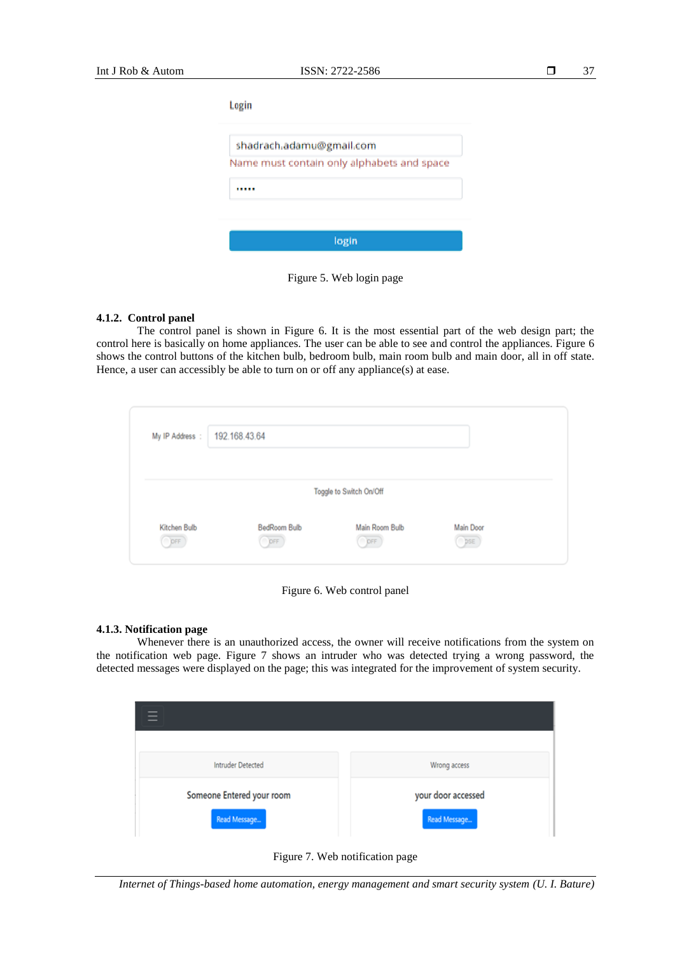| shadrach.adamu@gmail.com                   |
|--------------------------------------------|
| Name must contain only alphabets and space |
|                                            |
|                                            |

Figure 5. Web login page

# **4.1.2. Control panel**

The control panel is shown in Figure 6. It is the most essential part of the web design part; the control here is basically on home appliances. The user can be able to see and control the appliances. Figure 6 shows the control buttons of the kitchen bulb, bedroom bulb, main room bulb and main door, all in off state. Hence, a user can accessibly be able to turn on or off any appliance(s) at ease.

| My IP Address :      | 192.168.43.64              |                                                  |                  |  |
|----------------------|----------------------------|--------------------------------------------------|------------------|--|
| Kitchen Bulb<br>OPFF | <b>BedRoom Bulb</b><br>DFF | Toggle to Switch On/Off<br>Main Room Bulb<br>OFF | Main Door<br>DSE |  |

Figure 6. Web control panel

### **4.1.3. Notification page**

Whenever there is an unauthorized access, the owner will receive notifications from the system on the notification web page. Figure 7 shows an intruder who was detected trying a wrong password, the detected messages were displayed on the page; this was integrated for the improvement of system security.

| <b>Intruder Detected</b>  | Wrong access       |
|---------------------------|--------------------|
| Someone Entered your room | your door accessed |
| Read Message              | Read Message       |



*Internet of Things-based home automation, energy management and smart security system (U. I. Bature)*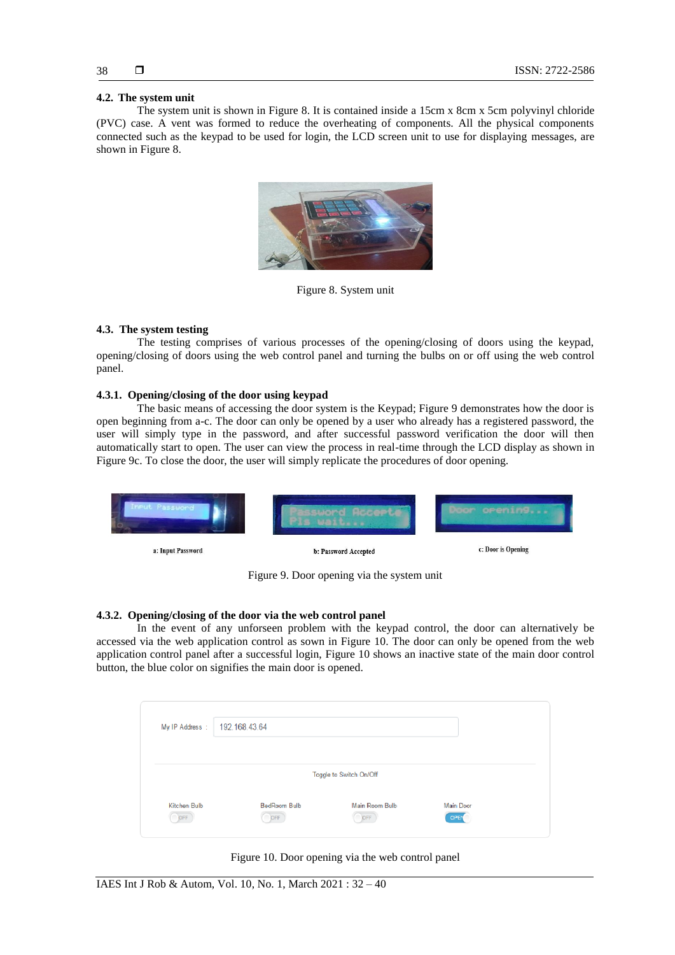# **4.2. The system unit**

The system unit is shown in Figure 8. It is contained inside a 15cm x 8cm x 5cm polyvinyl chloride (PVC) case. A vent was formed to reduce the overheating of components. All the physical components connected such as the keypad to be used for login, the LCD screen unit to use for displaying messages, are shown in Figure 8.



Figure 8. System unit

# **4.3. The system testing**

The testing comprises of various processes of the opening/closing of doors using the keypad, opening/closing of doors using the web control panel and turning the bulbs on or off using the web control panel.

# **4.3.1. Opening/closing of the door using keypad**

The basic means of accessing the door system is the Keypad; Figure 9 demonstrates how the door is open beginning from a-c. The door can only be opened by a user who already has a registered password, the user will simply type in the password, and after successful password verification the door will then automatically start to open. The user can view the process in real-time through the LCD display as shown in Figure 9c. To close the door, the user will simply replicate the procedures of door opening.



Figure 9. Door opening via the system unit

# **4.3.2. Opening/closing of the door via the web control panel**

In the event of any unforseen problem with the keypad control, the door can alternatively be accessed via the web application control as sown in Figure 10. The door can only be opened from the web application control panel after a successful login, Figure 10 shows an inactive state of the main door control button, the blue color on signifies the main door is opened.

| My IP Address :     | 192.168.43.64              |                                                  |                   |  |
|---------------------|----------------------------|--------------------------------------------------|-------------------|--|
| Kitchen Bulb<br>OFF | <b>BedRoom Bulb</b><br>DFF | Toggle to Switch On/Off<br>Main Room Bulb<br>DFF | Main Door<br>OPEN |  |

Figure 10. Door opening via the web control panel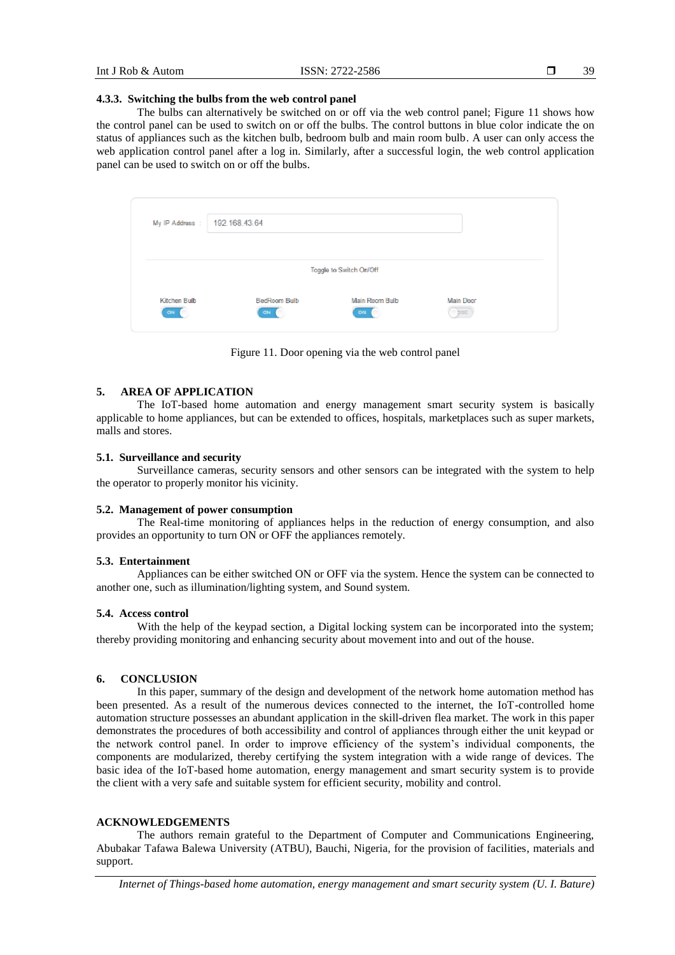# **4.3.3. Switching the bulbs from the web control panel**

The bulbs can alternatively be switched on or off via the web control panel; Figure 11 shows how the control panel can be used to switch on or off the bulbs. The control buttons in blue color indicate the on status of appliances such as the kitchen bulb, bedroom bulb and main room bulb. A user can only access the web application control panel after a log in. Similarly, after a successful login, the web control application panel can be used to switch on or off the bulbs.

| My IP Address : 192.168.43.64 |                    |                         |                                |  |
|-------------------------------|--------------------|-------------------------|--------------------------------|--|
|                               |                    | Toggle to Switch On/Off |                                |  |
| Kitchen Bulb<br>ON:           | BedRoom Bulb<br>ON | Main Room Bulb<br>ON    | <b>Main Door</b><br><b>DSE</b> |  |

Figure 11. Door opening via the web control panel

# **5. AREA OF APPLICATION**

The IoT-based home automation and energy management smart security system is basically applicable to home appliances, but can be extended to offices, hospitals, marketplaces such as super markets, malls and stores.

# **5.1. Surveillance and** *s***ecurity**

Surveillance cameras, security sensors and other sensors can be integrated with the system to help the operator to properly monitor his vicinity.

#### **5.2. Management of power consumption**

The Real-time monitoring of appliances helps in the reduction of energy consumption, and also provides an opportunity to turn ON or OFF the appliances remotely.

# **5.3. Entertainment**

Appliances can be either switched ON or OFF via the system. Hence the system can be connected to another one, such as illumination/lighting system, and Sound system.

#### **5.4. Access control**

With the help of the keypad section, a Digital locking system can be incorporated into the system; thereby providing monitoring and enhancing security about movement into and out of the house.

# **6. CONCLUSION**

In this paper, summary of the design and development of the network home automation method has been presented. As a result of the numerous devices connected to the internet, the IoT-controlled home automation structure possesses an abundant application in the skill-driven flea market. The work in this paper demonstrates the procedures of both accessibility and control of appliances through either the unit keypad or the network control panel. In order to improve efficiency of the system's individual components, the components are modularized, thereby certifying the system integration with a wide range of devices. The basic idea of the IoT-based home automation, energy management and smart security system is to provide the client with a very safe and suitable system for efficient security, mobility and control.

## **ACKNOWLEDGEMENTS**

The authors remain grateful to the Department of Computer and Communications Engineering, Abubakar Tafawa Balewa University (ATBU), Bauchi, Nigeria, for the provision of facilities, materials and support.